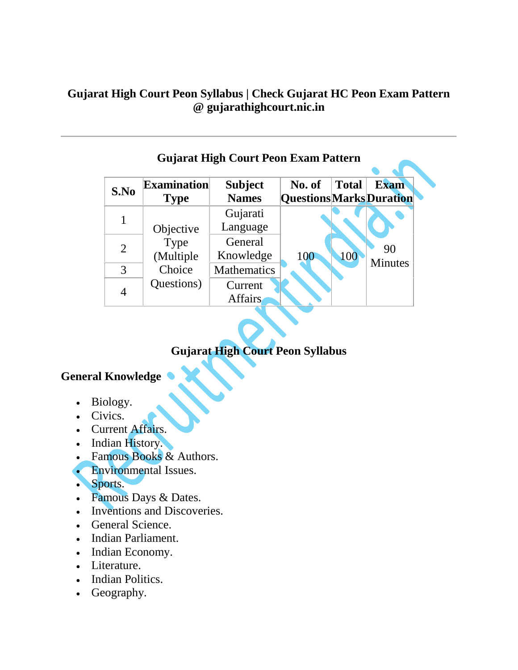#### **Gujarat High Court Peon Syllabus | Check Gujarat HC Peon Exam Pattern @ gujarathighcourt.nic.in**

| <b>Gujarat High Court Peon Exam Pattern</b> |                                   |                                |                                           |              |                      |
|---------------------------------------------|-----------------------------------|--------------------------------|-------------------------------------------|--------------|----------------------|
| S.No                                        | <b>Examination</b><br><b>Type</b> | <b>Subject</b><br><b>Names</b> | No. of<br><b>Questions Marks Duration</b> | <b>Total</b> | <b>Exam</b>          |
|                                             | Objective                         | Gujarati<br>Language           | 100                                       | 100          | 90<br><b>Minutes</b> |
| $\overline{2}$                              | Type<br>(Multiple                 | General<br>Knowledge           |                                           |              |                      |
| 3                                           | Choice                            | Mathematics                    |                                           |              |                      |
| 4                                           | Questions)                        | Current<br><b>Affairs</b>      |                                           |              |                      |

# **Gujarat High Court Peon Syllabus**

## **General Knowledge**

- Biology.
- Civics.
- Current Affairs.
- Indian History.
- Famous Books & Authors.
- Environmental Issues.
- Sports.
- Famous Days & Dates.
- Inventions and Discoveries.
- General Science.
- Indian Parliament.
- Indian Economy.
- Literature.
- Indian Politics.
- Geography.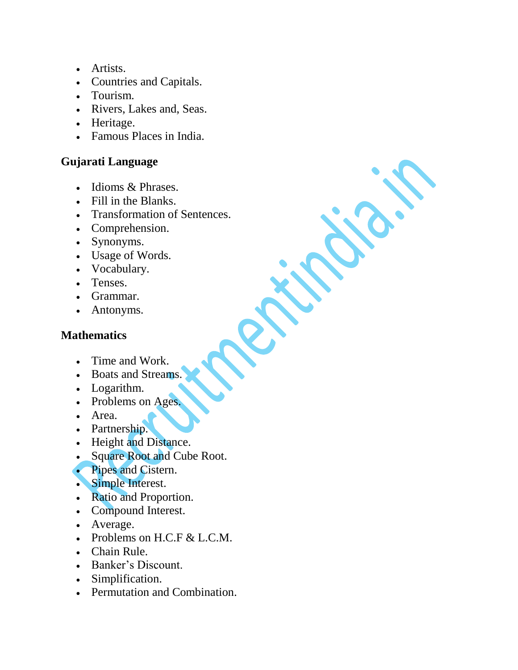- Artists.
- Countries and Capitals.
- Tourism.
- Rivers, Lakes and, Seas.
- Heritage.
- Famous Places in India.

### **Gujarati Language**

- Idioms & Phrases.
- Fill in the Blanks.
- Transformation of Sentences.
- Comprehension.
- Synonyms.
- Usage of Words.
- Vocabulary.
- Tenses.
- Grammar.
- Antonyms.

# **Mathematics**

- Time and Work.
- Boats and Streams.
- Logarithm.
- Problems on Ages.
- Area.
- Partnership.
- Height and Distance.
- Square Root and Cube Root.
- Pipes and Cistern.
- Simple Interest.
- Ratio and Proportion.
- Compound Interest.
- Average.
- Problems on H.C.F & L.C.M.
- Chain Rule.
- Banker's Discount.
- Simplification.
- Permutation and Combination.